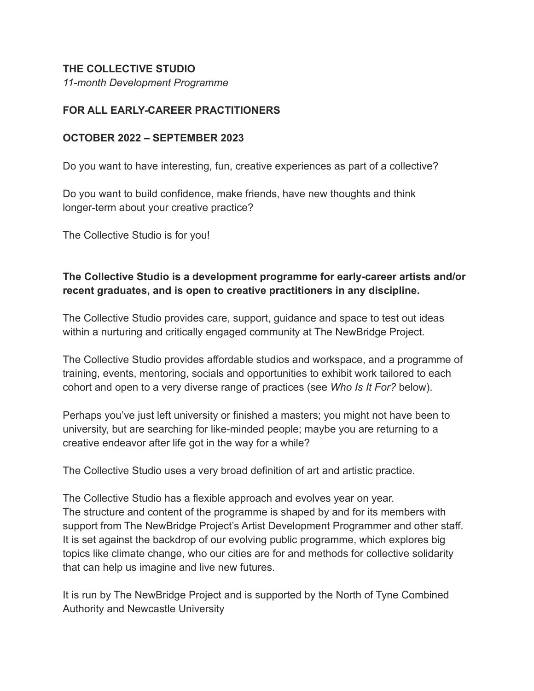### **THE COLLECTIVE STUDIO**

*11-month Development Programme*

## **FOR ALL EARLY-CAREER PRACTITIONERS**

### **OCTOBER 2022 – SEPTEMBER 2023**

Do you want to have interesting, fun, creative experiences as part of a collective?

Do you want to build confidence, make friends, have new thoughts and think longer-term about your creative practice?

The Collective Studio is for you!

# **The Collective Studio is a development programme for early-career artists and/or recent graduates, and is open to creative practitioners in any discipline.**

The Collective Studio provides care, support, guidance and space to test out ideas within a nurturing and critically engaged community at The NewBridge Project.

The Collective Studio provides affordable studios and workspace, and a programme of training, events, mentoring, socials and opportunities to exhibit work tailored to each cohort and open to a very diverse range of practices (see *Who Is It For?* below).

Perhaps you've just left university or finished a masters; you might not have been to university, but are searching for like-minded people; maybe you are returning to a creative endeavor after life got in the way for a while?

The Collective Studio uses a very broad definition of art and artistic practice.

The Collective Studio has a flexible approach and evolves year on year. The structure and content of the programme is shaped by and for its members with support from The NewBridge Project's Artist Development Programmer and other staff. It is set against the backdrop of our evolving public programme, which explores big topics like climate change, who our cities are for and methods for collective solidarity that can help us imagine and live new futures.

It is run by The NewBridge Project and is supported by the North of Tyne Combined Authority and Newcastle University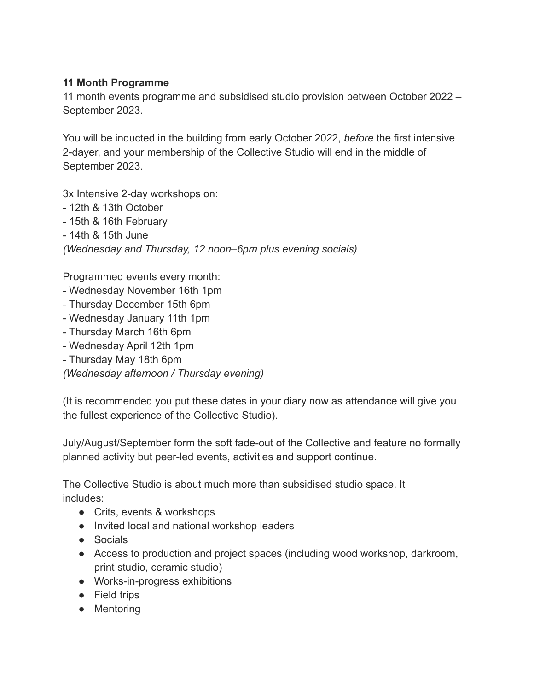## **11 Month Programme**

11 month events programme and subsidised studio provision between October 2022 – September 2023.

You will be inducted in the building from early October 2022, *before* the first intensive 2-dayer, and your membership of the Collective Studio will end in the middle of September 2023.

3x Intensive 2-day workshops on:

- 12th & 13th October
- 15th & 16th February
- 14th & 15th June

*(Wednesday and Thursday, 12 noon–6pm plus evening socials)*

Programmed events every month:

- Wednesday November 16th 1pm
- Thursday December 15th 6pm
- Wednesday January 11th 1pm
- Thursday March 16th 6pm
- Wednesday April 12th 1pm
- Thursday May 18th 6pm

*(Wednesday afternoon / Thursday evening)*

(It is recommended you put these dates in your diary now as attendance will give you the fullest experience of the Collective Studio).

July/August/September form the soft fade-out of the Collective and feature no formally planned activity but peer-led events, activities and support continue.

The Collective Studio is about much more than subsidised studio space. It includes:

- Crits, events & workshops
- Invited local and national workshop leaders
- Socials
- Access to production and project spaces (including wood workshop, darkroom, print studio, ceramic studio)
- Works-in-progress exhibitions
- Field trips
- Mentoring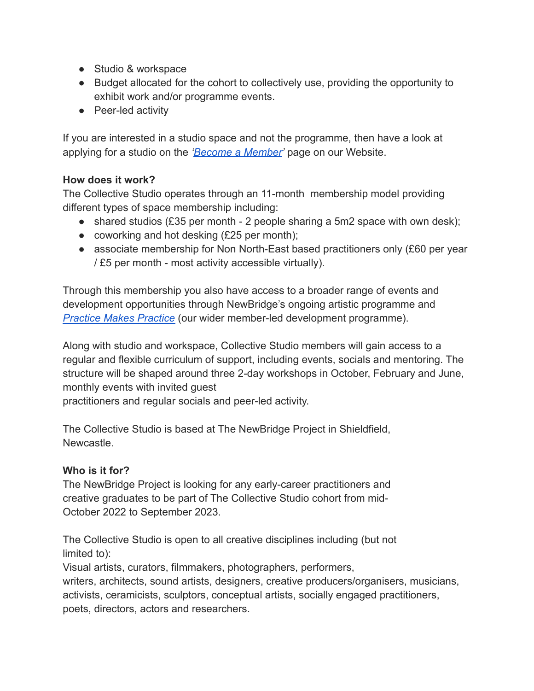- Studio & workspace
- Budget allocated for the cohort to collectively use, providing the opportunity to exhibit work and/or programme events.
- Peer-led activity

If you are interested in a studio space and not the programme, then have a look at applying for a studio on the *['Become a Member](https://thenewbridgeproject.com/become-a-member/)'* page on our Website.

## **How does it work?**

The Collective Studio operates through an 11-month membership model providing different types of space membership including:

- shared studios  $(E35$  per month 2 people sharing a 5m2 space with own desk);
- coworking and hot desking  $(E25$  per month);
- associate membership for Non North-East based practitioners only (£60 per year / £5 per month - most activity accessible virtually).

Through this membership you also have access to a broader range of events and development opportunities through NewBridge's ongoing artistic programme and *[Practice Makes Practice](https://thenewbridgeproject.com/artist-development/practice-makes-practice/)* (our wider member-led development programme).

Along with studio and workspace, Collective Studio members will gain access to a regular and flexible curriculum of support, including events, socials and mentoring. The structure will be shaped around three 2-day workshops in October, February and June, monthly events with invited guest

practitioners and regular socials and peer-led activity.

The Collective Studio is based at The NewBridge Project in Shieldfield, **Newcastle** 

## **Who is it for?**

The NewBridge Project is looking for any early-career practitioners and creative graduates to be part of The Collective Studio cohort from mid-October 2022 to September 2023.

The Collective Studio is open to all creative disciplines including (but not limited to):

Visual artists, curators, filmmakers, photographers, performers, writers, architects, sound artists, designers, creative producers/organisers, musicians, activists, ceramicists, sculptors, conceptual artists, socially engaged practitioners, poets, directors, actors and researchers.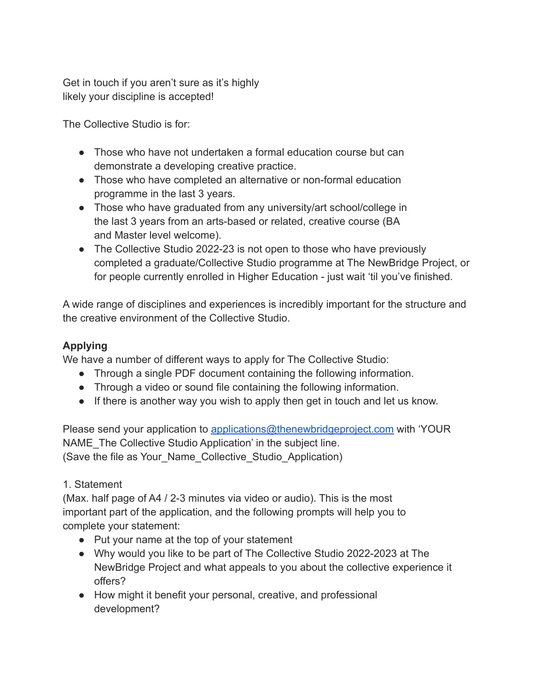Get in touch if you aren't sure as it's highly likely your discipline is accepted!

The Collective Studio is for:

- Those who have not undertaken a formal education course but can demonstrate a developing creative practice.
- Those who have completed an alternative or non-formal education programme in the last 3 years.
- Those who have graduated from any university/art school/college in the last 3 years from an arts-based or related, creative course (BA and Master level welcome).
- The Collective Studio 2022-23 is not open to those who have previously completed a graduate/Collective Studio programme at The NewBridge Project, or for people currently enrolled in Higher Education - just wait 'til you've finished.

A wide range of disciplines and experiences is incredibly important for the structure and the creative environment of the Collective Studio.

# **Applying**

We have a number of different ways to apply for The Collective Studio:

- Through a single PDF document containing the following information.
- Through a video or sound file containing the following information.
- If there is another way you wish to apply then get in touch and let us know.

Please send your application to [applications@thenewbridgeproject.com](mailto:applications@thenewbridgeproject.com) with 'YOUR NAME The Collective Studio Application' in the subject line. (Save the file as Your\_Name\_Collective\_Studio\_Application)

# 1. Statement

(Max. half page of A4 / 2-3 minutes via video or audio). This is the most important part of the application, and the following prompts will help you to complete your statement:

- Put your name at the top of your statement
- Why would you like to be part of The Collective Studio 2022-2023 at The NewBridge Project and what appeals to you about the collective experience it offers?
- How might it benefit your personal, creative, and professional development?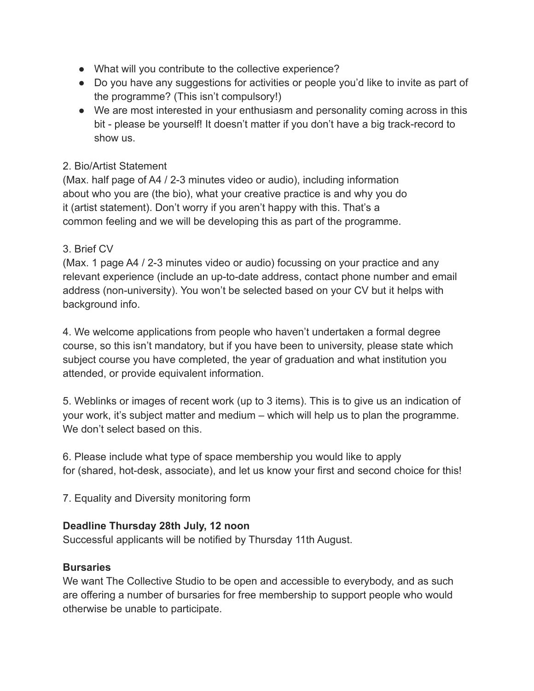- What will you contribute to the collective experience?
- Do you have any suggestions for activities or people you'd like to invite as part of the programme? (This isn't compulsory!)
- We are most interested in your enthusiasm and personality coming across in this bit - please be yourself! It doesn't matter if you don't have a big track-record to show us.

## 2. Bio/Artist Statement

(Max. half page of A4 / 2-3 minutes video or audio), including information about who you are (the bio), what your creative practice is and why you do it (artist statement). Don't worry if you aren't happy with this. That's a common feeling and we will be developing this as part of the programme.

## 3. Brief CV

(Max. 1 page A4 / 2-3 minutes video or audio) focussing on your practice and any relevant experience (include an up-to-date address, contact phone number and email address (non-university). You won't be selected based on your CV but it helps with background info.

4. We welcome applications from people who haven't undertaken a formal degree course, so this isn't mandatory, but if you have been to university, please state which subject course you have completed, the year of graduation and what institution you attended, or provide equivalent information.

5. Weblinks or images of recent work (up to 3 items). This is to give us an indication of your work, it's subject matter and medium – which will help us to plan the programme. We don't select based on this.

6. Please include what type of space membership you would like to apply for (shared, hot-desk, associate), and let us know your first and second choice for this!

7. Equality and Diversity monitoring form

### **Deadline Thursday 28th July, 12 noon**

Successful applicants will be notified by Thursday 11th August.

### **Bursaries**

We want The Collective Studio to be open and accessible to everybody, and as such are offering a number of bursaries for free membership to support people who would otherwise be unable to participate.